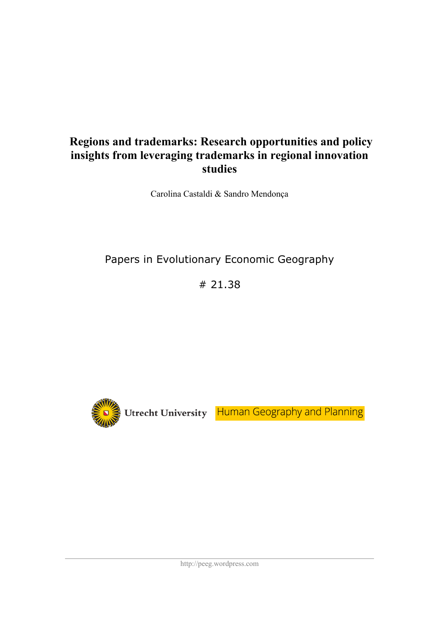# **Regions and trademarks: Research opportunities and policy insights from leveraging trademarks in regional innovation studies**

Carolina Castaldi & Sandro Mendonça

# Papers in Evolutionary Economic Geography

# 21.38



Utrecht University Human Geography and Planning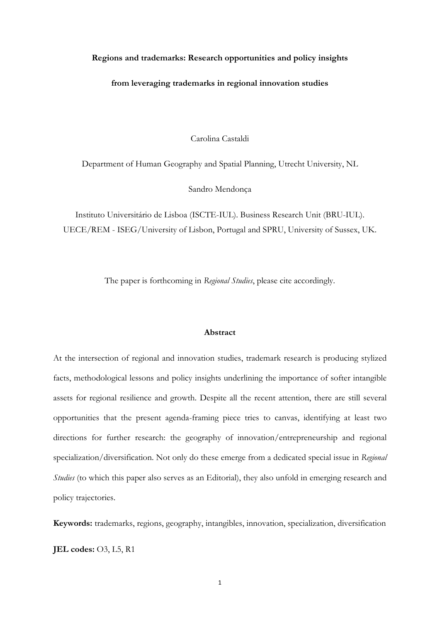#### **Regions and trademarks: Research opportunities and policy insights**

#### **from leveraging trademarks in regional innovation studies**

Carolina Castaldi

Department of Human Geography and Spatial Planning, Utrecht University, NL

Sandro Mendonça

Instituto Universitário de Lisboa (ISCTE-IUL). Business Research Unit (BRU-IUL). UECE/REM - ISEG/University of Lisbon, Portugal and SPRU, University of Sussex, UK.

The paper is forthcoming in *Regional Studies*, please cite accordingly.

#### **Abstract**

At the intersection of regional and innovation studies, trademark research is producing stylized facts, methodological lessons and policy insights underlining the importance of softer intangible assets for regional resilience and growth. Despite all the recent attention, there are still several opportunities that the present agenda-framing piece tries to canvas, identifying at least two directions for further research: the geography of innovation/entrepreneurship and regional specialization/diversification. Not only do these emerge from a dedicated special issue in *Regional Studies* (to which this paper also serves as an Editorial), they also unfold in emerging research and policy trajectories.

**Keywords:** trademarks, regions, geography, intangibles, innovation, specialization, diversification

**JEL codes:** O3, L5, R1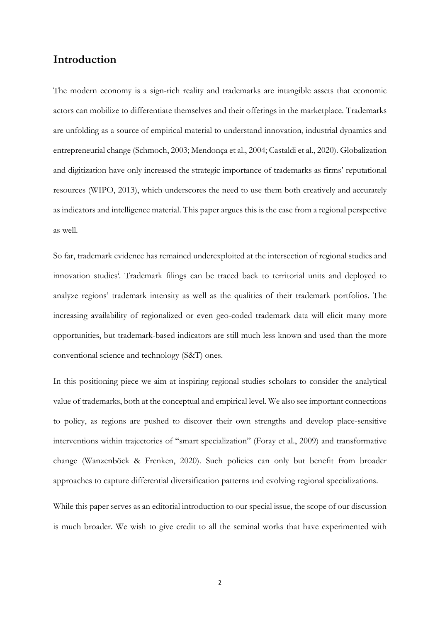# **Introduction**

The modern economy is a sign-rich reality and trademarks are intangible assets that economic actors can mobilize to differentiate themselves and their offerings in the marketplace. Trademarks are unfolding as a source of empirical material to understand innovation, industrial dynamics and entrepreneurial change (Schmoch, 2003; Mendonça et al., 2004; Castaldi et al., 2020). Globalization and digitization have only increased the strategic importance of trademarks as firms' reputational resources (WIPO, 2013), which underscores the need to use them both creatively and accurately as indicators and intelligence material. This paper argues this is the case from a regional perspective as well.

So far, trademark evidence has remained underexploited at the intersection of regional studies and innovation studies<sup>i</sup>. Trademark filings can be traced back to territorial units and deployed to analyze regions' trademark intensity as well as the qualities of their trademark portfolios. The increasing availability of regionalized or even geo-coded trademark data will elicit many more opportunities, but trademark-based indicators are still much less known and used than the more conventional science and technology (S&T) ones.

In this positioning piece we aim at inspiring regional studies scholars to consider the analytical value of trademarks, both at the conceptual and empirical level. We also see important connections to policy, as regions are pushed to discover their own strengths and develop place-sensitive interventions within trajectories of "smart specialization" (Foray et al., 2009) and transformative change (Wanzenböck & Frenken, 2020). Such policies can only but benefit from broader approaches to capture differential diversification patterns and evolving regional specializations.

While this paper serves as an editorial introduction to our special issue, the scope of our discussion is much broader. We wish to give credit to all the seminal works that have experimented with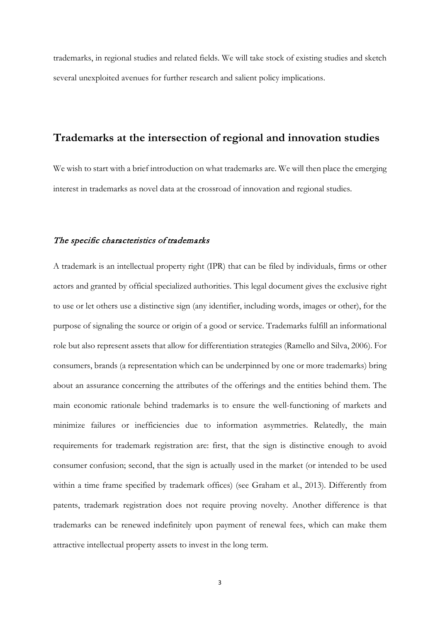trademarks, in regional studies and related fields. We will take stock of existing studies and sketch several unexploited avenues for further research and salient policy implications.

# **Trademarks at the intersection of regional and innovation studies**

We wish to start with a brief introduction on what trademarks are. We will then place the emerging interest in trademarks as novel data at the crossroad of innovation and regional studies.

#### The specific characteristics of trademarks

A trademark is an intellectual property right (IPR) that can be filed by individuals, firms or other actors and granted by official specialized authorities. This legal document gives the exclusive right to use or let others use a distinctive sign (any identifier, including words, images or other), for the purpose of signaling the source or origin of a good or service. Trademarks fulfill an informational role but also represent assets that allow for differentiation strategies (Ramello and Silva, 2006). For consumers, brands (a representation which can be underpinned by one or more trademarks) bring about an assurance concerning the attributes of the offerings and the entities behind them. The main economic rationale behind trademarks is to ensure the well-functioning of markets and minimize failures or inefficiencies due to information asymmetries. Relatedly, the main requirements for trademark registration are: first, that the sign is distinctive enough to avoid consumer confusion; second, that the sign is actually used in the market (or intended to be used within a time frame specified by trademark offices) (see Graham et al., 2013). Differently from patents, trademark registration does not require proving novelty. Another difference is that trademarks can be renewed indefinitely upon payment of renewal fees, which can make them attractive intellectual property assets to invest in the long term.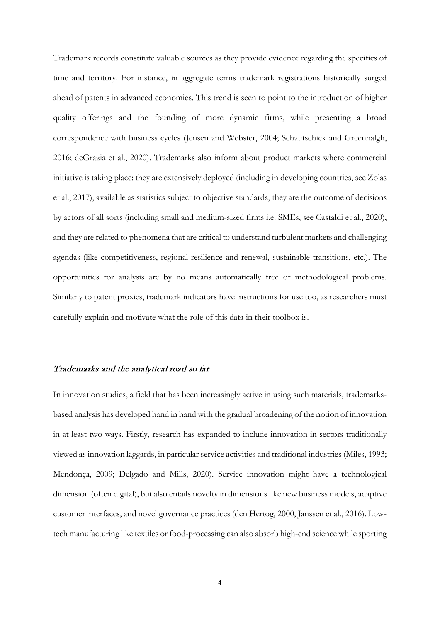Trademark records constitute valuable sources as they provide evidence regarding the specifics of time and territory. For instance, in aggregate terms trademark registrations historically surged ahead of patents in advanced economies. This trend is seen to point to the introduction of higher quality offerings and the founding of more dynamic firms, while presenting a broad correspondence with business cycles (Jensen and Webster, 2004; Schautschick and Greenhalgh, 2016; deGrazia et al., 2020). Trademarks also inform about product markets where commercial initiative is taking place: they are extensively deployed (including in developing countries, see Zolas et al., 2017), available as statistics subject to objective standards, they are the outcome of decisions by actors of all sorts (including small and medium-sized firms i.e. SMEs, see Castaldi et al., 2020), and they are related to phenomena that are critical to understand turbulent markets and challenging agendas (like competitiveness, regional resilience and renewal, sustainable transitions, etc.). The opportunities for analysis are by no means automatically free of methodological problems. Similarly to patent proxies, trademark indicators have instructions for use too, as researchers must carefully explain and motivate what the role of this data in their toolbox is.

### Trademarks and the analytical road so far

In innovation studies, a field that has been increasingly active in using such materials, trademarksbased analysis has developed hand in hand with the gradual broadening of the notion of innovation in at least two ways. Firstly, research has expanded to include innovation in sectors traditionally viewed as innovation laggards, in particular service activities and traditional industries (Miles, 1993; Mendonça, 2009; Delgado and Mills, 2020). Service innovation might have a technological dimension (often digital), but also entails novelty in dimensions like new business models, adaptive customer interfaces, and novel governance practices (den Hertog, 2000, Janssen et al., 2016). Lowtech manufacturing like textiles or food-processing can also absorb high-end science while sporting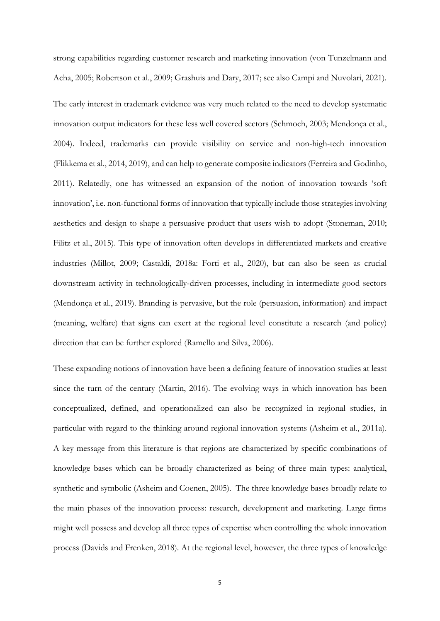strong capabilities regarding customer research and marketing innovation (von Tunzelmann and Acha, 2005; Robertson et al., 2009; Grashuis and Dary, 2017; see also Campi and Nuvolari, 2021).

The early interest in trademark evidence was very much related to the need to develop systematic innovation output indicators for these less well covered sectors (Schmoch, 2003; Mendonça et al., 2004). Indeed, trademarks can provide visibility on service and non-high-tech innovation (Flikkema et al., 2014, 2019), and can help to generate composite indicators (Ferreira and Godinho, 2011). Relatedly, one has witnessed an expansion of the notion of innovation towards 'soft innovation', i.e. non-functional forms of innovation that typically include those strategies involving aesthetics and design to shape a persuasive product that users wish to adopt (Stoneman, 2010; Filitz et al., 2015). This type of innovation often develops in differentiated markets and creative industries (Millot, 2009; Castaldi, 2018a: Forti et al., 2020), but can also be seen as crucial downstream activity in technologically-driven processes, including in intermediate good sectors (Mendonça et al., 2019). Branding is pervasive, but the role (persuasion, information) and impact (meaning, welfare) that signs can exert at the regional level constitute a research (and policy) direction that can be further explored (Ramello and Silva, 2006).

These expanding notions of innovation have been a defining feature of innovation studies at least since the turn of the century (Martin, 2016). The evolving ways in which innovation has been conceptualized, defined, and operationalized can also be recognized in regional studies, in particular with regard to the thinking around regional innovation systems (Asheim et al., 2011a). A key message from this literature is that regions are characterized by specific combinations of knowledge bases which can be broadly characterized as being of three main types: analytical, synthetic and symbolic (Asheim and Coenen, 2005). The three knowledge bases broadly relate to the main phases of the innovation process: research, development and marketing. Large firms might well possess and develop all three types of expertise when controlling the whole innovation process (Davids and Frenken, 2018). At the regional level, however, the three types of knowledge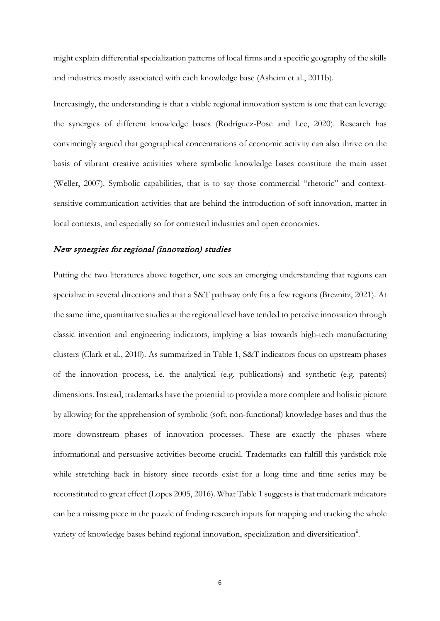might explain differential specialization patterns of local firms and a specific geography of the skills and industries mostly associated with each knowledge base (Asheim et al., 2011b).

Increasingly, the understanding is that a viable regional innovation system is one that can leverage the synergies of different knowledge bases (Rodríguez-Pose and Lee, 2020). Research has convincingly argued that geographical concentrations of economic activity can also thrive on the basis of vibrant creative activities where symbolic knowledge bases constitute the main asset (Weller, 2007). Symbolic capabilities, that is to say those commercial "rhetoric" and contextsensitive communication activities that are behind the introduction of soft innovation, matter in local contexts, and especially so for contested industries and open economies.

#### New synergies for regional (innovation) studies

Putting the two literatures above together, one sees an emerging understanding that regions can specialize in several directions and that a S&T pathway only fits a few regions (Breznitz, 2021). At the same time, quantitative studies at the regional level have tended to perceive innovation through classic invention and engineering indicators, implying a bias towards high-tech manufacturing clusters (Clark et al., 2010). As summarized in Table 1, S&T indicators focus on upstream phases of the innovation process, i.e. the analytical (e.g. publications) and synthetic (e.g. patents) dimensions. Instead, trademarks have the potential to provide a more complete and holistic picture by allowing for the apprehension of symbolic (soft, non-functional) knowledge bases and thus the more downstream phases of innovation processes. These are exactly the phases where informational and persuasive activities become crucial. Trademarks can fulfill this yardstick role while stretching back in history since records exist for a long time and time series may be reconstituted to great effect (Lopes 2005, 2016). What Table 1 suggests is that trademark indicators can be a missing piece in the puzzle of finding research inputs for mapping and tracking the whole variety of knowledge bases behind regional innovation, specialization and diversification<sup>[ii](#page-37-1)</sup>.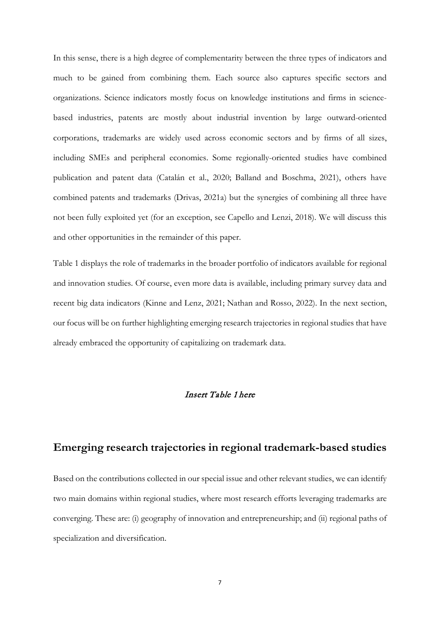In this sense, there is a high degree of complementarity between the three types of indicators and much to be gained from combining them. Each source also captures specific sectors and organizations. Science indicators mostly focus on knowledge institutions and firms in sciencebased industries, patents are mostly about industrial invention by large outward-oriented corporations, trademarks are widely used across economic sectors and by firms of all sizes, including SMEs and peripheral economies. Some regionally-oriented studies have combined publication and patent data (Catalán et al., 2020; Balland and Boschma, 2021), others have combined patents and trademarks (Drivas, 2021a) but the synergies of combining all three have not been fully exploited yet (for an exception, see Capello and Lenzi, 2018). We will discuss this and other opportunities in the remainder of this paper.

Table 1 displays the role of trademarks in the broader portfolio of indicators available for regional and innovation studies. Of course, even more data is available, including primary survey data and recent big data indicators (Kinne and Lenz, 2021; Nathan and Rosso, 2022). In the next section, our focus will be on further highlighting emerging research trajectories in regional studies that have already embraced the opportunity of capitalizing on trademark data.

### Insert Table 1 here

# **Emerging research trajectories in regional trademark-based studies**

Based on the contributions collected in our special issue and other relevant studies, we can identify two main domains within regional studies, where most research efforts leveraging trademarks are converging. These are: (i) geography of innovation and entrepreneurship; and (ii) regional paths of specialization and diversification.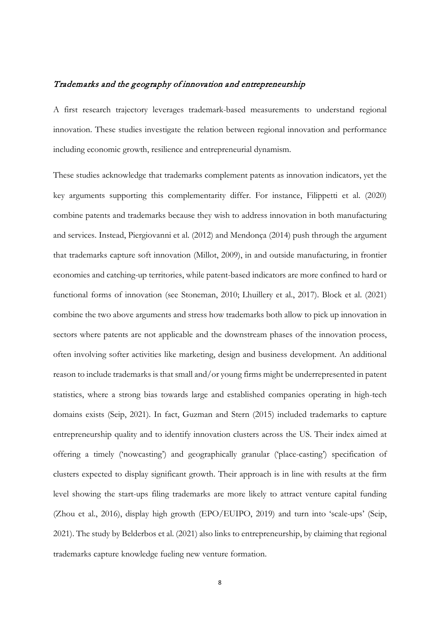#### Trademarks and the geography of innovation and entrepreneurship

A first research trajectory leverages trademark-based measurements to understand regional innovation. These studies investigate the relation between regional innovation and performance including economic growth, resilience and entrepreneurial dynamism.

These studies acknowledge that trademarks complement patents as innovation indicators, yet the key arguments supporting this complementarity differ. For instance, Filippetti et al. (2020) combine patents and trademarks because they wish to address innovation in both manufacturing and services. Instead, Piergiovanni et al. (2012) and Mendonça (2014) push through the argument that trademarks capture soft innovation (Millot, 2009), in and outside manufacturing, in frontier economies and catching-up territories, while patent-based indicators are more confined to hard or functional forms of innovation (see Stoneman, 2010; Lhuillery et al., 2017). Block et al. (2021) combine the two above arguments and stress how trademarks both allow to pick up innovation in sectors where patents are not applicable and the downstream phases of the innovation process, often involving softer activities like marketing, design and business development. An additional reason to include trademarks is that small and/or young firms might be underrepresented in patent statistics, where a strong bias towards large and established companies operating in high-tech domains exists (Seip, 2021). In fact, Guzman and Stern (2015) included trademarks to capture entrepreneurship quality and to identify innovation clusters across the US. Their index aimed at offering a timely ('nowcasting') and geographically granular ('place-casting') specification of clusters expected to display significant growth. Their approach is in line with results at the firm level showing the start-ups filing trademarks are more likely to attract venture capital funding (Zhou et al., 2016), display high growth (EPO/EUIPO, 2019) and turn into 'scale-ups' (Seip, 2021). The study by Belderbos et al. (2021) also links to entrepreneurship, by claiming that regional trademarks capture knowledge fueling new venture formation.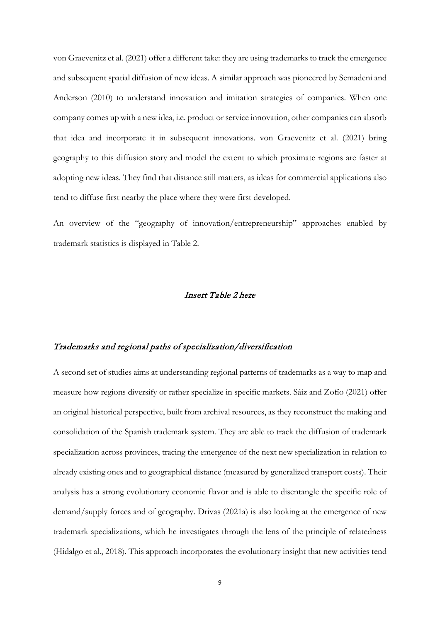von Graevenitz et al. (2021) offer a different take: they are using trademarks to track the emergence and subsequent spatial diffusion of new ideas. A similar approach was pioneered by Semadeni and Anderson (2010) to understand innovation and imitation strategies of companies. When one company comes up with a new idea, i.e. product or service innovation, other companies can absorb that idea and incorporate it in subsequent innovations. von Graevenitz et al. (2021) bring geography to this diffusion story and model the extent to which proximate regions are faster at adopting new ideas. They find that distance still matters, as ideas for commercial applications also tend to diffuse first nearby the place where they were first developed.

An overview of the "geography of innovation/entrepreneurship" approaches enabled by trademark statistics is displayed in Table 2.

### Insert Table 2 here

#### Trademarks and regional paths of specialization/diversification

A second set of studies aims at understanding regional patterns of trademarks as a way to map and measure how regions diversify or rather specialize in specific markets. Sáiz and Zofío (2021) offer an original historical perspective, built from archival resources, as they reconstruct the making and consolidation of the Spanish trademark system. They are able to track the diffusion of trademark specialization across provinces, tracing the emergence of the next new specialization in relation to already existing ones and to geographical distance (measured by generalized transport costs). Their analysis has a strong evolutionary economic flavor and is able to disentangle the specific role of demand/supply forces and of geography. Drivas (2021a) is also looking at the emergence of new trademark specializations, which he investigates through the lens of the principle of relatedness (Hidalgo et al., 2018). This approach incorporates the evolutionary insight that new activities tend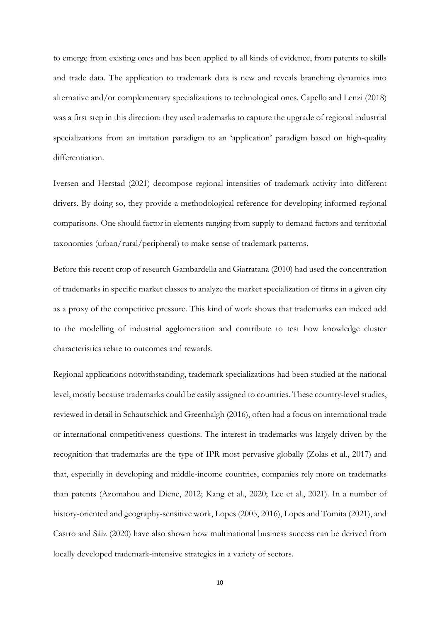to emerge from existing ones and has been applied to all kinds of evidence, from patents to skills and trade data. The application to trademark data is new and reveals branching dynamics into alternative and/or complementary specializations to technological ones. Capello and Lenzi (2018) was a first step in this direction: they used trademarks to capture the upgrade of regional industrial specializations from an imitation paradigm to an 'application' paradigm based on high-quality differentiation.

Iversen and Herstad (2021) decompose regional intensities of trademark activity into different drivers. By doing so, they provide a methodological reference for developing informed regional comparisons. One should factor in elements ranging from supply to demand factors and territorial taxonomies (urban/rural/peripheral) to make sense of trademark patterns.

Before this recent crop of research Gambardella and Giarratana (2010) had used the concentration of trademarks in specific market classes to analyze the market specialization of firms in a given city as a proxy of the competitive pressure. This kind of work shows that trademarks can indeed add to the modelling of industrial agglomeration and contribute to test how knowledge cluster characteristics relate to outcomes and rewards.

Regional applications notwithstanding, trademark specializations had been studied at the national level, mostly because trademarks could be easily assigned to countries. These country-level studies, reviewed in detail in Schautschick and Greenhalgh (2016), often had a focus on international trade or international competitiveness questions. The interest in trademarks was largely driven by the recognition that trademarks are the type of IPR most pervasive globally (Zolas et al., 2017) and that, especially in developing and middle-income countries, companies rely more on trademarks than patents (Azomahou and Diene, 2012; Kang et al., 2020; Lee et al., 2021). In a number of history-oriented and geography-sensitive work, Lopes (2005, 2016), Lopes and Tomita (2021), and Castro and Sáiz (2020) have also shown how multinational business success can be derived from locally developed trademark-intensive strategies in a variety of sectors.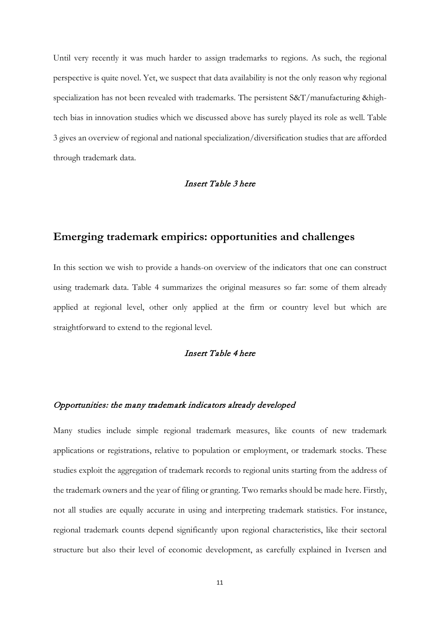Until very recently it was much harder to assign trademarks to regions. As such, the regional perspective is quite novel. Yet, we suspect that data availability is not the only reason why regional specialization has not been revealed with trademarks. The persistent S&T/manufacturing &hightech bias in innovation studies which we discussed above has surely played its role as well. Table 3 gives an overview of regional and national specialization/diversification studies that are afforded through trademark data.

#### Insert Table 3 here

# **Emerging trademark empirics: opportunities and challenges**

In this section we wish to provide a hands-on overview of the indicators that one can construct using trademark data. Table 4 summarizes the original measures so far: some of them already applied at regional level, other only applied at the firm or country level but which are straightforward to extend to the regional level.

### Insert Table 4 here

#### Opportunities: the many trademark indicators already developed

Many studies include simple regional trademark measures, like counts of new trademark applications or registrations, relative to population or employment, or trademark stocks. These studies exploit the aggregation of trademark records to regional units starting from the address of the trademark owners and the year of filing or granting. Two remarks should be made here. Firstly, not all studies are equally accurate in using and interpreting trademark statistics. For instance, regional trademark counts depend significantly upon regional characteristics, like their sectoral structure but also their level of economic development, as carefully explained in Iversen and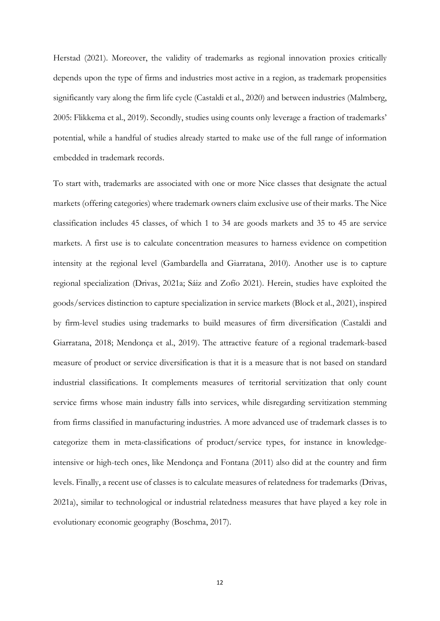Herstad (2021). Moreover, the validity of trademarks as regional innovation proxies critically depends upon the type of firms and industries most active in a region, as trademark propensities significantly vary along the firm life cycle (Castaldi et al., 2020) and between industries (Malmberg, 2005: Flikkema et al., 2019). Secondly, studies using counts only leverage a fraction of trademarks' potential, while a handful of studies already started to make use of the full range of information embedded in trademark records.

To start with, trademarks are associated with one or more Nice classes that designate the actual markets (offering categories) where trademark owners claim exclusive use of their marks. The Nice classification includes 45 classes, of which 1 to 34 are goods markets and 35 to 45 are service markets. A first use is to calculate concentration measures to harness evidence on competition intensity at the regional level (Gambardella and Giarratana, 2010). Another use is to capture regional specialization (Drivas, 2021a; Sáiz and Zofío 2021). Herein, studies have exploited the goods/services distinction to capture specialization in service markets (Block et al., 2021), inspired by firm-level studies using trademarks to build measures of firm diversification (Castaldi and Giarratana, 2018; Mendonça et al., 2019). The attractive feature of a regional trademark-based measure of product or service diversification is that it is a measure that is not based on standard industrial classifications. It complements measures of territorial servitization that only count service firms whose main industry falls into services, while disregarding servitization stemming from firms classified in manufacturing industries. A more advanced use of trademark classes is to categorize them in meta-classifications of product/service types, for instance in knowledgeintensive or high-tech ones, like Mendonça and Fontana (2011) also did at the country and firm levels. Finally, a recent use of classes is to calculate measures of relatedness for trademarks (Drivas, 2021a), similar to technological or industrial relatedness measures that have played a key role in evolutionary economic geography (Boschma, 2017).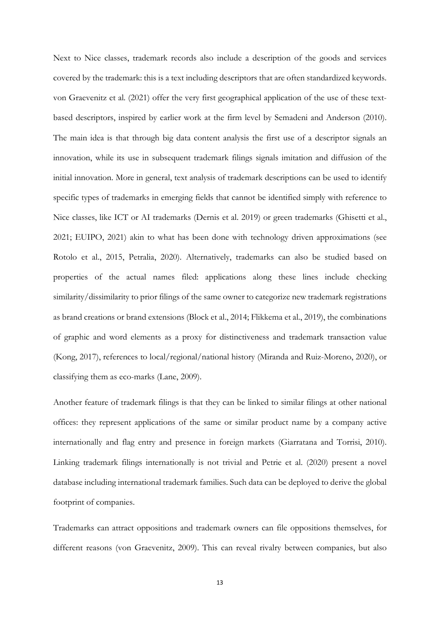Next to Nice classes, trademark records also include a description of the goods and services covered by the trademark: this is a text including descriptors that are often standardized keywords. von Graevenitz et al. (2021) offer the very first geographical application of the use of these textbased descriptors, inspired by earlier work at the firm level by Semadeni and Anderson (2010). The main idea is that through big data content analysis the first use of a descriptor signals an innovation, while its use in subsequent trademark filings signals imitation and diffusion of the initial innovation. More in general, text analysis of trademark descriptions can be used to identify specific types of trademarks in emerging fields that cannot be identified simply with reference to Nice classes, like ICT or AI trademarks (Dernis et al. 2019) or green trademarks (Ghisetti et al., 2021; EUIPO, 2021) akin to what has been done with technology driven approximations (see Rotolo et al., 2015, Petralia, 2020). Alternatively, trademarks can also be studied based on properties of the actual names filed: applications along these lines include checking similarity/dissimilarity to prior filings of the same owner to categorize new trademark registrations as brand creations or brand extensions (Block et al., 2014; Flikkema et al., 2019), the combinations of graphic and word elements as a proxy for distinctiveness and trademark transaction value (Kong, 2017), references to local/regional/national history (Miranda and Ruiz-Moreno, 2020), or classifying them as eco-marks (Lane, 2009).

Another feature of trademark filings is that they can be linked to similar filings at other national offices: they represent applications of the same or similar product name by a company active internationally and flag entry and presence in foreign markets (Giarratana and Torrisi, 2010). Linking trademark filings internationally is not trivial and Petrie et al. (2020) present a novel database including international trademark families. Such data can be deployed to derive the global footprint of companies.

Trademarks can attract oppositions and trademark owners can file oppositions themselves, for different reasons (von Graevenitz, 2009). This can reveal rivalry between companies, but also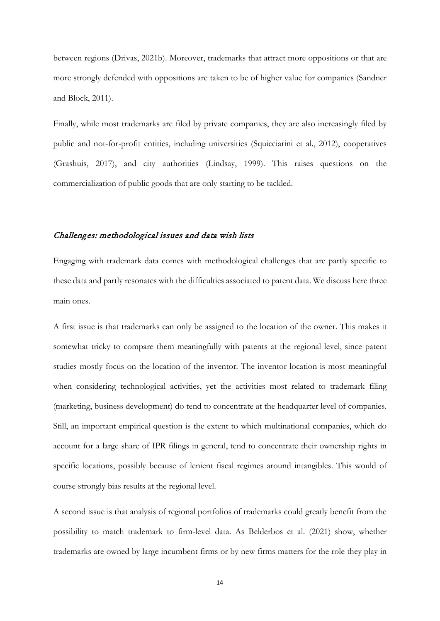between regions (Drivas, 2021b). Moreover, trademarks that attract more oppositions or that are more strongly defended with oppositions are taken to be of higher value for companies (Sandner and Block, 2011).

Finally, while most trademarks are filed by private companies, they are also increasingly filed by public and not-for-profit entities, including universities (Squicciarini et al., 2012), cooperatives (Grashuis, 2017), and city authorities (Lindsay, 1999). This raises questions on the commercialization of public goods that are only starting to be tackled.

#### Challenges: methodological issues and data wish lists

Engaging with trademark data comes with methodological challenges that are partly specific to these data and partly resonates with the difficulties associated to patent data. We discuss here three main ones.

A first issue is that trademarks can only be assigned to the location of the owner. This makes it somewhat tricky to compare them meaningfully with patents at the regional level, since patent studies mostly focus on the location of the inventor. The inventor location is most meaningful when considering technological activities, yet the activities most related to trademark filing (marketing, business development) do tend to concentrate at the headquarter level of companies. Still, an important empirical question is the extent to which multinational companies, which do account for a large share of IPR filings in general, tend to concentrate their ownership rights in specific locations, possibly because of lenient fiscal regimes around intangibles. This would of course strongly bias results at the regional level.

A second issue is that analysis of regional portfolios of trademarks could greatly benefit from the possibility to match trademark to firm-level data. As Belderbos et al. (2021) show, whether trademarks are owned by large incumbent firms or by new firms matters for the role they play in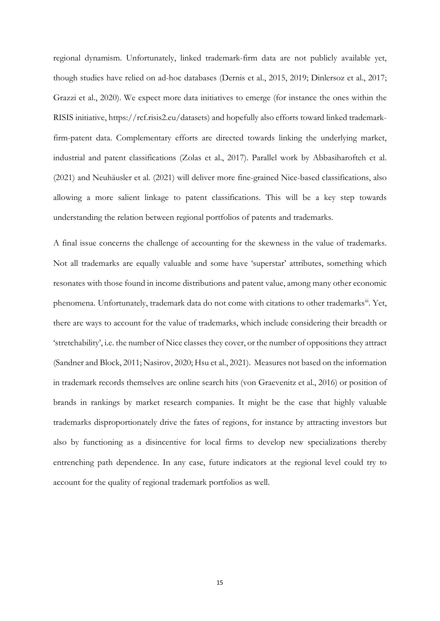regional dynamism. Unfortunately, linked trademark-firm data are not publicly available yet, though studies have relied on ad-hoc databases (Dernis et al., 2015, 2019; Dinlersoz et al., 2017; Grazzi et al., 2020). We expect more data initiatives to emerge (for instance the ones within the RISIS initiative, https://rcf.risis2.eu/datasets) and hopefully also efforts toward linked trademarkfirm-patent data. Complementary efforts are directed towards linking the underlying market, industrial and patent classifications (Zolas et al., 2017). Parallel work by Abbasiharofteh et al. (2021) and Neuhäusler et al. (2021) will deliver more fine-grained Nice-based classifications, also allowing a more salient linkage to patent classifications. This will be a key step towards understanding the relation between regional portfolios of patents and trademarks.

A final issue concerns the challenge of accounting for the skewness in the value of trademarks. Not all trademarks are equally valuable and some have 'superstar' attributes, something which resonates with those found in income distributions and patent value, among many other economic phenomena. Unfortunately, trademark data do not come with citations to other trademarks<sup>iii</sup>. Yet, there are ways to account for the value of trademarks, which include considering their breadth or 'stretchability', i.e. the number of Nice classes they cover, or the number of oppositions they attract (Sandner and Block, 2011; Nasirov, 2020; Hsu et al., 2021). Measures not based on the information in trademark records themselves are online search hits (von Graevenitz et al., 2016) or position of brands in rankings by market research companies. It might be the case that highly valuable trademarks disproportionately drive the fates of regions, for instance by attracting investors but also by functioning as a disincentive for local firms to develop new specializations thereby entrenching path dependence. In any case, future indicators at the regional level could try to account for the quality of regional trademark portfolios as well.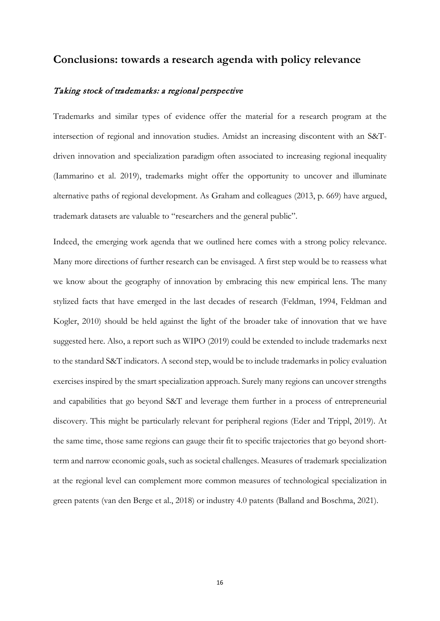# **Conclusions: towards a research agenda with policy relevance**

#### Taking stock of trademarks: a regional perspective

Trademarks and similar types of evidence offer the material for a research program at the intersection of regional and innovation studies. Amidst an increasing discontent with an S&Tdriven innovation and specialization paradigm often associated to increasing regional inequality (Iammarino et al. 2019), trademarks might offer the opportunity to uncover and illuminate alternative paths of regional development. As Graham and colleagues (2013, p. 669) have argued, trademark datasets are valuable to "researchers and the general public".

Indeed, the emerging work agenda that we outlined here comes with a strong policy relevance. Many more directions of further research can be envisaged. A first step would be to reassess what we know about the geography of innovation by embracing this new empirical lens. The many stylized facts that have emerged in the last decades of research (Feldman, 1994, Feldman and Kogler, 2010) should be held against the light of the broader take of innovation that we have suggested here. Also, a report such as WIPO (2019) could be extended to include trademarks next to the standard S&T indicators. A second step, would be to include trademarks in policy evaluation exercises inspired by the smart specialization approach. Surely many regions can uncover strengths and capabilities that go beyond S&T and leverage them further in a process of entrepreneurial discovery. This might be particularly relevant for peripheral regions (Eder and Trippl, 2019). At the same time, those same regions can gauge their fit to specific trajectories that go beyond shortterm and narrow economic goals, such as societal challenges. Measures of trademark specialization at the regional level can complement more common measures of technological specialization in green patents (van den Berge et al., 2018) or industry 4.0 patents (Balland and Boschma, 2021).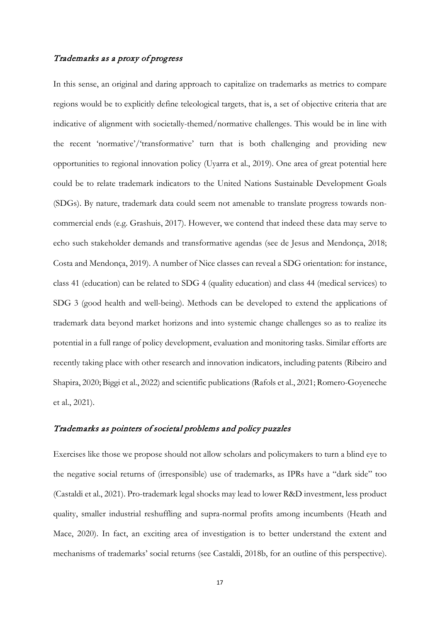### Trademarks as a proxy of progress

In this sense, an original and daring approach to capitalize on trademarks as metrics to compare regions would be to explicitly define teleological targets, that is, a set of objective criteria that are indicative of alignment with societally-themed/normative challenges. This would be in line with the recent 'normative'/'transformative' turn that is both challenging and providing new opportunities to regional innovation policy (Uyarra et al., 2019). One area of great potential here could be to relate trademark indicators to the United Nations Sustainable Development Goals (SDGs). By nature, trademark data could seem not amenable to translate progress towards noncommercial ends (e.g. Grashuis, 2017). However, we contend that indeed these data may serve to echo such stakeholder demands and transformative agendas (see de Jesus and Mendonça, 2018; Costa and Mendonça, 2019). A number of Nice classes can reveal a SDG orientation: for instance, class 41 (education) can be related to SDG 4 (quality education) and class 44 (medical services) to SDG 3 (good health and well-being). Methods can be developed to extend the applications of trademark data beyond market horizons and into systemic change challenges so as to realize its potential in a full range of policy development, evaluation and monitoring tasks. Similar efforts are recently taking place with other research and innovation indicators, including patents (Ribeiro and Shapira, 2020; Biggi et al., 2022) and scientific publications (Rafols et al., 2021; Romero-Goyeneche et al., 2021).

#### Trademarks as pointers of societal problems and policy puzzles

Exercises like those we propose should not allow scholars and policymakers to turn a blind eye to the negative social returns of (irresponsible) use of trademarks, as IPRs have a "dark side" too (Castaldi et al., 2021). Pro-trademark legal shocks may lead to lower R&D investment, less product quality, smaller industrial reshuffling and supra-normal profits among incumbents (Heath and Mace, 2020). In fact, an exciting area of investigation is to better understand the extent and mechanisms of trademarks' social returns (see Castaldi, 2018b, for an outline of this perspective).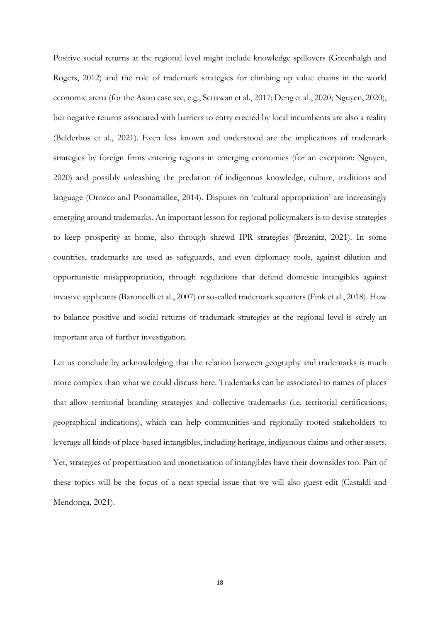Positive social returns at the regional level might include knowledge spillovers (Greenhalgh and Rogers, 2012) and the role of trademark strategies for climbing up value chains in the world economic arena (for the Asian case see, e.g., Setiawan et al., 2017; Deng et al., 2020; Nguyen, 2020), but negative returns associated with barriers to entry erected by local incumbents are also a reality (Belderbos et al., 2021). Even less known and understood are the implications of trademark strategies by foreign firms entering regions in emerging economies (for an exception: Nguyen, 2020) and possibly unleashing the predation of indigenous knowledge, culture, traditions and language (Orozco and Poonamallee, 2014). Disputes on 'cultural appropriation' are increasingly emerging around trademarks. An important lesson for regional policymakers is to devise strategies to keep prosperity at home, also through shrewd IPR strategies (Breznitz, 2021). In some countries, trademarks are used as safeguards, and even diplomacy tools, against dilution and opportunistic misappropriation, through regulations that defend domestic intangibles against invasive applicants (Baroncelli et al., 2007) or so-called trademark squatters (Fink et al., 2018). How to balance positive and social returns of trademark strategies at the regional level is surely an important area of further investigation.

Let us conclude by acknowledging that the relation between geography and trademarks is much more complex than what we could discuss here. Trademarks can be associated to names of places that allow territorial branding strategies and collective trademarks (i.e. territorial certifications, geographical indications), which can help communities and regionally rooted stakeholders to leverage all kinds of place-based intangibles, including heritage, indigenous claims and other assets. Yet, strategies of propertization and monetization of intangibles have their downsides too. Part of these topics will be the focus of a next special issue that we will also guest edit (Castaldi and Mendonça, 2021).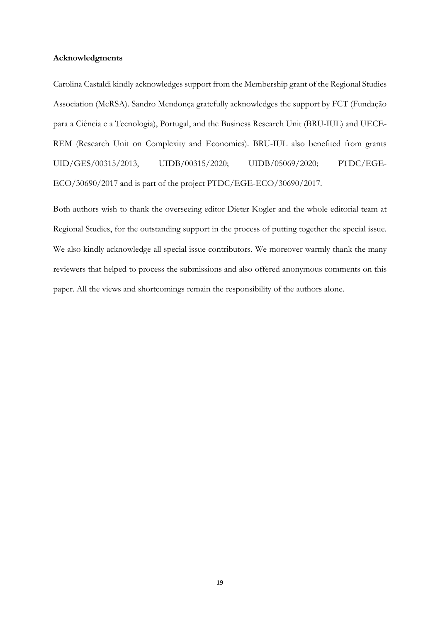#### **Acknowledgments**

Carolina Castaldi kindly acknowledges support from the Membership grant of the Regional Studies Association (MeRSA). Sandro Mendonça gratefully acknowledges the support by FCT (Fundação para a Ciência e a Tecnologia), Portugal, and the Business Research Unit (BRU-IUL) and UECE-REM (Research Unit on Complexity and Economics). BRU-IUL also benefited from grants UID/GES/00315/2013, UIDB/00315/2020; UIDB/05069/2020; PTDC/EGE-ECO/30690/2017 and is part of the project PTDC/EGE-ECO/30690/2017.

Both authors wish to thank the overseeing editor Dieter Kogler and the whole editorial team at Regional Studies, for the outstanding support in the process of putting together the special issue. We also kindly acknowledge all special issue contributors. We moreover warmly thank the many reviewers that helped to process the submissions and also offered anonymous comments on this paper. All the views and shortcomings remain the responsibility of the authors alone.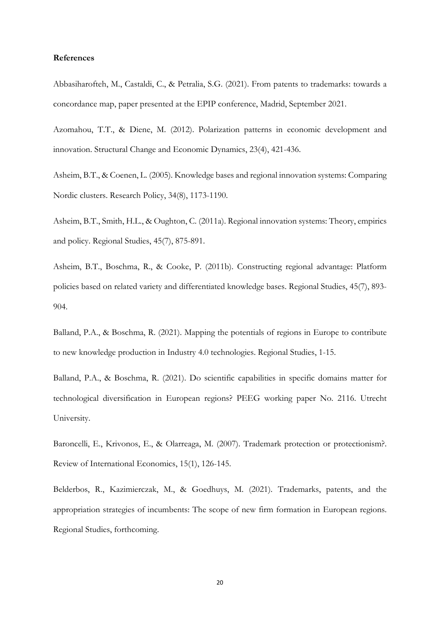#### **References**

Abbasiharofteh, M., Castaldi, C., & Petralia, S.G. (2021). From patents to trademarks: towards a concordance map, paper presented at the EPIP conference, Madrid, September 2021.

Azomahou, T.T., & Diene, M. (2012). Polarization patterns in economic development and innovation. Structural Change and Economic Dynamics, 23(4), 421-436.

Asheim, B.T., & Coenen, L. (2005). Knowledge bases and regional innovation systems: Comparing Nordic clusters. Research Policy, 34(8), 1173-1190.

Asheim, B.T., Smith, H.L., & Oughton, C. (2011a). Regional innovation systems: Theory, empirics and policy. Regional Studies, 45(7), 875-891.

Asheim, B.T., Boschma, R., & Cooke, P. (2011b). Constructing regional advantage: Platform policies based on related variety and differentiated knowledge bases. Regional Studies, 45(7), 893- 904.

Balland, P.A., & Boschma, R. (2021). Mapping the potentials of regions in Europe to contribute to new knowledge production in Industry 4.0 technologies. Regional Studies, 1-15.

Balland, P.A., & Boschma, R. (2021). Do scientific capabilities in specific domains matter for technological diversification in European regions? PEEG working paper No. 2116. Utrecht University.

Baroncelli, E., Krivonos, E., & Olarreaga, M. (2007). Trademark protection or protectionism?. Review of International Economics, 15(1), 126-145.

Belderbos, R., Kazimierczak, M., & Goedhuys, M. (2021). Trademarks, patents, and the appropriation strategies of incumbents: The scope of new firm formation in European regions. Regional Studies, forthcoming.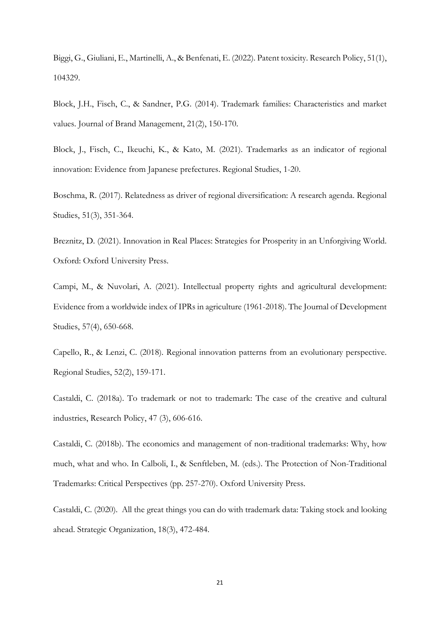Biggi, G., Giuliani, E., Martinelli, A., & Benfenati, E. (2022). Patent toxicity. Research Policy, 51(1), 104329.

Block, J.H., Fisch, C., & Sandner, P.G. (2014). Trademark families: Characteristics and market values. Journal of Brand Management, 21(2), 150-170.

Block, J., Fisch, C., Ikeuchi, K., & Kato, M. (2021). Trademarks as an indicator of regional innovation: Evidence from Japanese prefectures. Regional Studies, 1-20.

Boschma, R. (2017). Relatedness as driver of regional diversification: A research agenda. Regional Studies, 51(3), 351-364.

Breznitz, D. (2021). Innovation in Real Places: Strategies for Prosperity in an Unforgiving World. Oxford: Oxford University Press.

Campi, M., & Nuvolari, A. (2021). Intellectual property rights and agricultural development: Evidence from a worldwide index of IPRs in agriculture (1961-2018). The Journal of Development Studies, 57(4), 650-668.

Capello, R., & Lenzi, C. (2018). Regional innovation patterns from an evolutionary perspective. Regional Studies, 52(2), 159-171.

Castaldi, C. (2018a). To trademark or not to trademark: The case of the creative and cultural industries, Research Policy, 47 (3), 606-616.

Castaldi, C. (2018b). The economics and management of non-traditional trademarks: Why, how much, what and who. In Calboli, I., & Senftleben, M. (eds.). The Protection of Non-Traditional Trademarks: Critical Perspectives (pp. 257-270). Oxford University Press.

Castaldi, C. (2020). All the great things you can do with trademark data: Taking stock and looking ahead. Strategic Organization, 18(3), 472-484.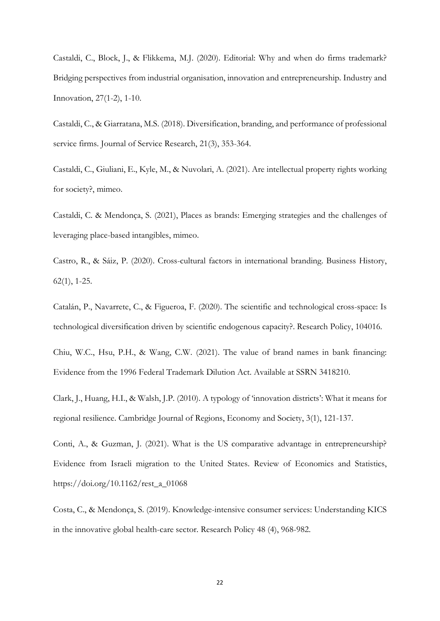Castaldi, C., Block, J., & Flikkema, M.J. (2020). Editorial: Why and when do firms trademark? Bridging perspectives from industrial organisation, innovation and entrepreneurship. Industry and Innovation, 27(1-2), 1-10.

Castaldi, C., & Giarratana, M.S. (2018). Diversification, branding, and performance of professional service firms. Journal of Service Research, 21(3), 353-364.

Castaldi, C., Giuliani, E., Kyle, M., & Nuvolari, A. (2021). Are intellectual property rights working for society?, mimeo.

Castaldi, C. & Mendonça, S. (2021), Places as brands: Emerging strategies and the challenges of leveraging place-based intangibles, mimeo.

Castro, R., & Sáiz, P. (2020). Cross-cultural factors in international branding. Business History, 62(1), 1-25.

Catalán, P., Navarrete, C., & Figueroa, F. (2020). The scientific and technological cross-space: Is technological diversification driven by scientific endogenous capacity?. Research Policy, 104016.

Chiu, W.C., Hsu, P.H., & Wang, C.W. (2021). The value of brand names in bank financing: Evidence from the 1996 Federal Trademark Dilution Act. Available at SSRN 3418210.

Clark, J., Huang, H.I., & Walsh, J.P. (2010). A typology of 'innovation districts': What it means for regional resilience. Cambridge Journal of Regions, Economy and Society, 3(1), 121-137.

Conti, A., & Guzman, J. (2021). What is the US comparative advantage in entrepreneurship? Evidence from Israeli migration to the United States. Review of Economics and Statistics, https://doi.org/10.1162/rest\_a\_01068

Costa, C., & Mendonça, S. (2019). Knowledge-intensive consumer services: Understanding KICS in the innovative global health-care sector. Research Policy 48 (4), 968-982.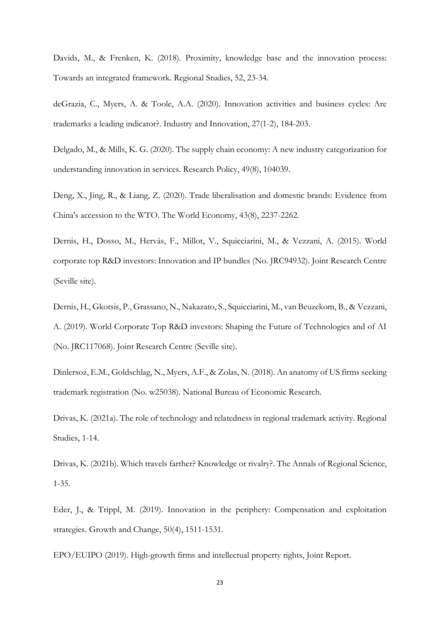Davids, M., & Frenken, K. (2018). Proximity, knowledge base and the innovation process: Towards an integrated framework. Regional Studies, 52, 23-34.

deGrazia, C., Myers, A. & Toole, A.A. (2020). Innovation activities and business cycles: Are trademarks a leading indicator?. Industry and Innovation, 27(1-2), 184-203.

Delgado, M., & Mills, K. G. (2020). The supply chain economy: A new industry categorization for understanding innovation in services. Research Policy, 49(8), 104039.

Deng, X., Jing, R., & Liang, Z. (2020). Trade liberalisation and domestic brands: Evidence from China's accession to the WTO. The World Economy, 43(8), 2237-2262.

Dernis, H., Dosso, M., Hervás, F., Millot, V., Squicciarini, M., & Vezzani, A. (2015). World corporate top R&D investors: Innovation and IP bundles (No. JRC94932). Joint Research Centre (Seville site).

Dernis, H., Gkotsis, P., Grassano, N., Nakazato, S., Squicciarini, M., van Beuzekom, B., & Vezzani, A. (2019). World Corporate Top R&D investors: Shaping the Future of Technologies and of AI (No. JRC117068). Joint Research Centre (Seville site).

Dinlersoz, E.M., Goldschlag, N., Myers, A.F., & Zolas, N. (2018). An anatomy of US firms seeking trademark registration (No. w25038). National Bureau of Economic Research.

Drivas, K. (2021a). The role of technology and relatedness in regional trademark activity. Regional Studies, 1-14.

Drivas, K. (2021b). Which travels farther? Knowledge or rivalry?. The Annals of Regional Science, 1-35.

Eder, J., & Trippl, M. (2019). Innovation in the periphery: Compensation and exploitation strategies. Growth and Change, 50(4), 1511-1531.

EPO/EUIPO (2019). High-growth firms and intellectual property rights, Joint Report.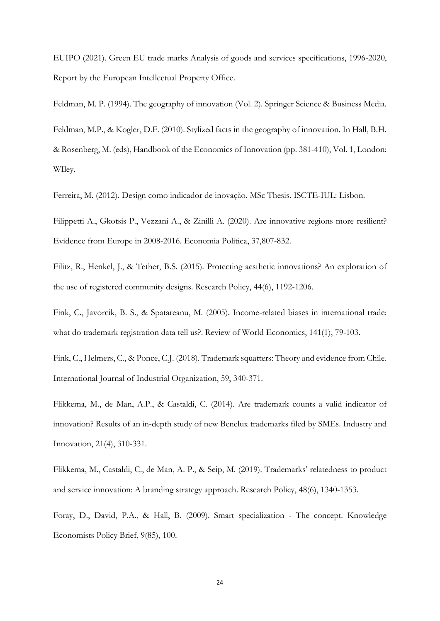EUIPO (2021). Green EU trade marks Analysis of goods and services specifications, 1996-2020, Report by the European Intellectual Property Office.

Feldman, M. P. (1994). The geography of innovation (Vol. 2). Springer Science & Business Media.

Feldman, M.P., & Kogler, D.F. (2010). Stylized facts in the geography of innovation. In Hall, B.H. & Rosenberg, M. (eds), Handbook of the Economics of Innovation (pp. 381-410), Vol. 1, London: WIley.

Ferreira, M. (2012). Design como indicador de inovação. MSc Thesis. ISCTE-IUL: Lisbon.

Filippetti A., Gkotsis P., Vezzani A., & Zinilli A. (2020). Are innovative regions more resilient? Evidence from Europe in 2008-2016. Economia Politica, 37,807-832.

Filitz, R., Henkel, J., & Tether, B.S. (2015). Protecting aesthetic innovations? An exploration of the use of registered community designs. Research Policy, 44(6), 1192-1206.

Fink, C., Javorcik, B. S., & Spatareanu, M. (2005). Income-related biases in international trade: what do trademark registration data tell us?. Review of World Economics, 141(1), 79-103.

Fink, C., Helmers, C., & Ponce, C.J. (2018). Trademark squatters: Theory and evidence from Chile. International Journal of Industrial Organization, 59, 340-371.

Flikkema, M., de Man, A.P., & Castaldi, C. (2014). Are trademark counts a valid indicator of innovation? Results of an in-depth study of new Benelux trademarks filed by SMEs. Industry and Innovation, 21(4), 310-331.

Flikkema, M., Castaldi, C., de Man, A. P., & Seip, M. (2019). Trademarks' relatedness to product and service innovation: A branding strategy approach. Research Policy, 48(6), 1340-1353.

Foray, D., David, P.A., & Hall, B. (2009). Smart specialization - The concept. Knowledge Economists Policy Brief, 9(85), 100.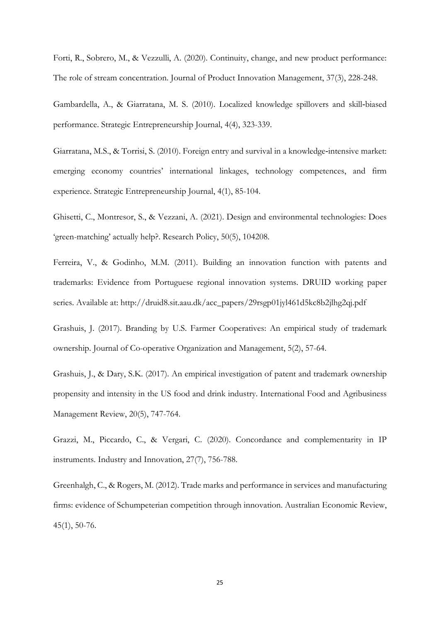Forti, R., Sobrero, M., & Vezzulli, A. (2020). Continuity, change, and new product performance: The role of stream concentration. Journal of Product Innovation Management, 37(3), 228-248.

Gambardella, A., & Giarratana, M. S. (2010). Localized knowledge spillovers and skill‐biased performance. Strategic Entrepreneurship Journal, 4(4), 323-339.

Giarratana, M.S., & Torrisi, S. (2010). Foreign entry and survival in a knowledge‐intensive market: emerging economy countries' international linkages, technology competences, and firm experience. Strategic Entrepreneurship Journal, 4(1), 85-104.

Ghisetti, C., Montresor, S., & Vezzani, A. (2021). Design and environmental technologies: Does 'green-matching' actually help?. Research Policy, 50(5), 104208.

Ferreira, V., & Godinho, M.M. (2011). Building an innovation function with patents and trademarks: Evidence from Portuguese regional innovation systems. DRUID working paper series. Available at: http://druid8.sit.aau.dk/acc\_papers/29rsgp01jyl461d5kc8b2jlhg2qj.pdf

Grashuis, J. (2017). Branding by U.S. Farmer Cooperatives: An empirical study of trademark ownership. Journal of Co-operative Organization and Management, 5(2), 57-64.

Grashuis, J., & Dary, S.K. (2017). An empirical investigation of patent and trademark ownership propensity and intensity in the US food and drink industry. International Food and Agribusiness Management Review, 20(5), 747-764.

Grazzi, M., Piccardo, C., & Vergari, C. (2020). Concordance and complementarity in IP instruments. Industry and Innovation, 27(7), 756-788.

Greenhalgh, C., & Rogers, M. (2012). Trade marks and performance in services and manufacturing firms: evidence of Schumpeterian competition through innovation. Australian Economic Review, 45(1), 50-76.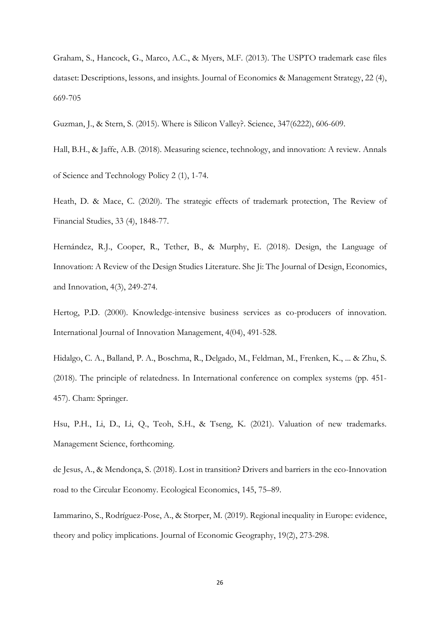Graham, S., Hancock, G., Marco, A.C., & Myers, M.F. (2013). The USPTO trademark case files dataset: Descriptions, lessons, and insights. Journal of Economics & Management Strategy, 22 (4), 669-705

Guzman, J., & Stern, S. (2015). Where is Silicon Valley?. Science, 347(6222), 606-609.

Hall, B.H., & Jaffe, A.B. (2018). Measuring science, technology, and innovation: A review. Annals of Science and Technology Policy 2 (1), 1-74.

Heath, D. & Mace, C. (2020). The strategic effects of trademark protection, The Review of Financial Studies, 33 (4), 1848-77.

Hernández, R.J., Cooper, R., Tether, B., & Murphy, E. (2018). Design, the Language of Innovation: A Review of the Design Studies Literature. She Ji: The Journal of Design, Economics, and Innovation, 4(3), 249-274.

Hertog, P.D. (2000). Knowledge-intensive business services as co-producers of innovation. International Journal of Innovation Management, 4(04), 491-528.

Hidalgo, C. A., Balland, P. A., Boschma, R., Delgado, M., Feldman, M., Frenken, K., ... & Zhu, S. (2018). The principle of relatedness. In International conference on complex systems (pp. 451- 457). Cham: Springer.

Hsu, P.H., Li, D., Li, Q., Teoh, S.H., & Tseng, K. (2021). Valuation of new trademarks. Management Science, forthcoming.

de Jesus, A., & Mendonça, S. (2018). Lost in transition? Drivers and barriers in the eco-Innovation road to the Circular Economy. Ecological Economics, 145, 75–89.

Iammarino, S., Rodríguez-Pose, A., & Storper, M. (2019). Regional inequality in Europe: evidence, theory and policy implications. Journal of Economic Geography, 19(2), 273-298.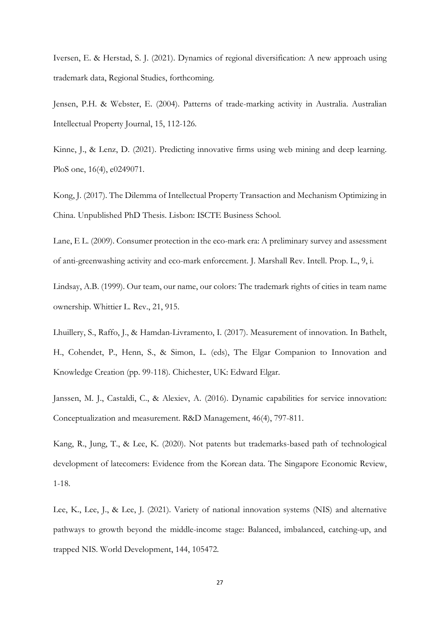Iversen, E. & Herstad, S. J. (2021). Dynamics of regional diversification: A new approach using trademark data, Regional Studies, forthcoming.

Jensen, P.H. & Webster, E. (2004). Patterns of trade-marking activity in Australia. Australian Intellectual Property Journal, 15, 112-126.

Kinne, J., & Lenz, D. (2021). Predicting innovative firms using web mining and deep learning. PloS one, 16(4), e0249071.

Kong, J. (2017). The Dilemma of Intellectual Property Transaction and Mechanism Optimizing in China. Unpublished PhD Thesis. Lisbon: ISCTE Business School.

Lane, E L. (2009). Consumer protection in the eco-mark era: A preliminary survey and assessment of anti-greenwashing activity and eco-mark enforcement. J. Marshall Rev. Intell. Prop. L., 9, i.

Lindsay, A.B. (1999). Our team, our name, our colors: The trademark rights of cities in team name ownership. Whittier L. Rev., 21, 915.

Lhuillery, S., Raffo, J., & Hamdan-Livramento, I. (2017). Measurement of innovation. In Bathelt, H., Cohendet, P., Henn, S., & Simon, L. (eds), The Elgar Companion to Innovation and Knowledge Creation (pp. 99-118). Chichester, UK: Edward Elgar.

Janssen, M. J., Castaldi, C., & Alexiev, A. (2016). Dynamic capabilities for service innovation: Conceptualization and measurement. R&D Management, 46(4), 797-811.

Kang, R., Jung, T., & Lee, K. (2020). Not patents but trademarks-based path of technological development of latecomers: Evidence from the Korean data. The Singapore Economic Review, 1-18.

Lee, K., Lee, J., & Lee, J. (2021). Variety of national innovation systems (NIS) and alternative pathways to growth beyond the middle-income stage: Balanced, imbalanced, catching-up, and trapped NIS. World Development, 144, 105472.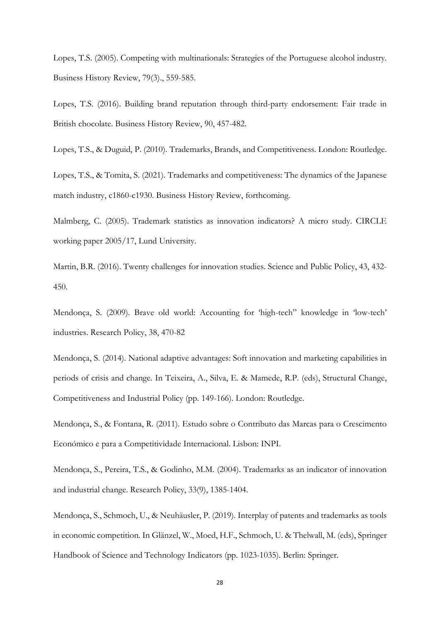Lopes, T.S. (2005). Competing with multinationals: Strategies of the Portuguese alcohol industry. Business History Review, 79(3)., 559-585.

Lopes, T.S. (2016). Building brand reputation through third-party endorsement: Fair trade in British chocolate. Business History Review, 90, 457-482.

Lopes, T.S., & Duguid, P. (2010). Trademarks, Brands, and Competitiveness. London: Routledge.

Lopes, T.S., & Tomita, S. (2021). Trademarks and competitiveness: The dynamics of the Japanese match industry, c1860-c1930. Business History Review, forthcoming.

Malmberg, C. (2005). Trademark statistics as innovation indicators? A micro study. CIRCLE working paper 2005/17, Lund University.

Martin, B.R. (2016). Twenty challenges for innovation studies. Science and Public Policy, 43, 432- 450.

Mendonça, S. (2009). Brave old world: Accounting for 'high-tech" knowledge in 'low-tech' industries. Research Policy, 38, 470-82

Mendonça, S. (2014). National adaptive advantages: Soft innovation and marketing capabilities in periods of crisis and change. In Teixeira, A., Silva, E. & Mamede, R.P. (eds), Structural Change, Competitiveness and Industrial Policy (pp. 149-166). London: Routledge.

Mendonça, S., & Fontana, R. (2011). Estudo sobre o Contributo das Marcas para o Crescimento Económico e para a Competitividade Internacional. Lisbon: INPI.

Mendonça, S., Pereira, T.S., & Godinho, M.M. (2004). Trademarks as an indicator of innovation and industrial change. Research Policy, 33(9), 1385-1404.

Mendonça, S., Schmoch, U., & Neuhäusler, P. (2019). Interplay of patents and trademarks as tools in economic competition. In Glänzel, W., Moed, H.F., Schmoch, U. & Thelwall, M. (eds), Springer Handbook of Science and Technology Indicators (pp. 1023-1035). Berlin: Springer.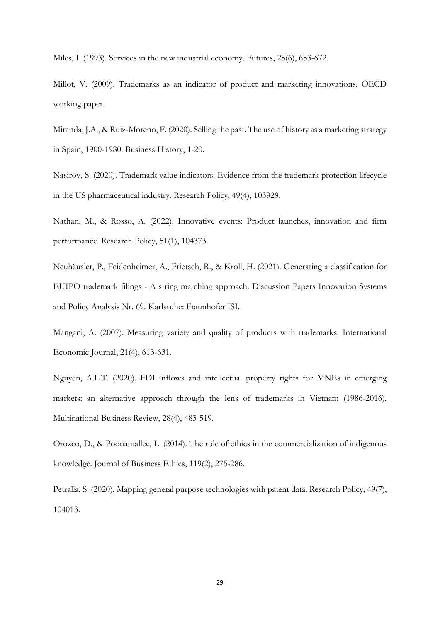Miles, I. (1993). Services in the new industrial economy. Futures, 25(6), 653-672.

Millot, V. (2009). Trademarks as an indicator of product and marketing innovations. OECD working paper.

Miranda, J.A., & Ruiz-Moreno, F. (2020). Selling the past. The use of history as a marketing strategy in Spain, 1900-1980. Business History, 1-20.

Nasirov, S. (2020). Trademark value indicators: Evidence from the trademark protection lifecycle in the US pharmaceutical industry. Research Policy, 49(4), 103929.

Nathan, M., & Rosso, A. (2022). Innovative events: Product launches, innovation and firm performance. Research Policy, 51(1), 104373.

Neuhäusler, P., Feidenheimer, A., Frietsch, R., & Kroll, H. (2021). Generating a classification for EUIPO trademark filings - A string matching approach. Discussion Papers Innovation Systems and Policy Analysis Nr. 69. Karlsruhe: Fraunhofer ISI.

Mangani, A. (2007). Measuring variety and quality of products with trademarks. International Economic Journal, 21(4), 613-631.

Nguyen, A.L.T. (2020). FDI inflows and intellectual property rights for MNEs in emerging markets: an alternative approach through the lens of trademarks in Vietnam (1986-2016). Multinational Business Review, 28(4), 483-519.

Orozco, D., & Poonamallee, L. (2014). The role of ethics in the commercialization of indigenous knowledge. Journal of Business Ethics, 119(2), 275-286.

Petralia, S. (2020). Mapping general purpose technologies with patent data. Research Policy, 49(7), 104013.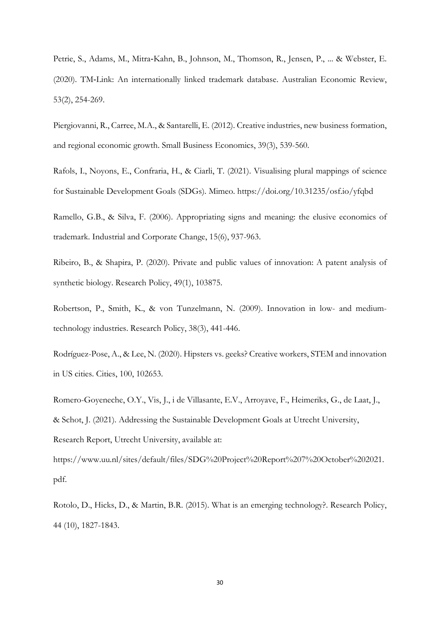Petrie, S., Adams, M., Mitra‐Kahn, B., Johnson, M., Thomson, R., Jensen, P., ... & Webster, E. (2020). TM‐Link: An internationally linked trademark database. Australian Economic Review, 53(2), 254-269.

Piergiovanni, R., Carree, M.A., & Santarelli, E. (2012). Creative industries, new business formation, and regional economic growth. Small Business Economics, 39(3), 539-560.

Rafols, I., Noyons, E., Confraria, H., & Ciarli, T. (2021). Visualising plural mappings of science for Sustainable Development Goals (SDGs). Mimeo. https://doi.org/10.31235/osf.io/yfqbd

Ramello, G.B., & Silva, F. (2006). Appropriating signs and meaning: the elusive economics of trademark. Industrial and Corporate Change, 15(6), 937-963.

Ribeiro, B., & Shapira, P. (2020). Private and public values of innovation: A patent analysis of synthetic biology. Research Policy, 49(1), 103875.

Robertson, P., Smith, K., & von Tunzelmann, N. (2009). Innovation in low- and mediumtechnology industries. Research Policy, 38(3), 441-446.

Rodríguez-Pose, A., & Lee, N. (2020). Hipsters vs. geeks? Creative workers, STEM and innovation in US cities. Cities, 100, 102653.

Romero-Goyeneche, O.Y., Vis, J., i de Villasante, E.V., Arroyave, F., Heimeriks, G., de Laat, J., & Schot, J. (2021). Addressing the Sustainable Development Goals at Utrecht University, Research Report, Utrecht University, available at:

https://www.uu.nl/sites/default/files/SDG%20Project%20Report%207%20October%202021. pdf.

Rotolo, D., Hicks, D., & Martin, B.R. (2015). What is an emerging technology?. Research Policy, 44 (10), 1827-1843.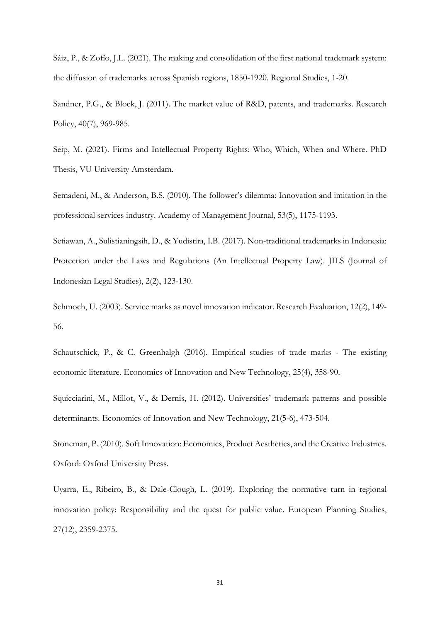Sáiz, P., & Zofío, J.L. (2021). The making and consolidation of the first national trademark system: the diffusion of trademarks across Spanish regions, 1850-1920. Regional Studies, 1-20.

Sandner, P.G., & Block, J. (2011). The market value of R&D, patents, and trademarks. Research Policy, 40(7), 969-985.

Seip, M. (2021). Firms and Intellectual Property Rights: Who, Which, When and Where. PhD Thesis, VU University Amsterdam.

Semadeni, M., & Anderson, B.S. (2010). The follower's dilemma: Innovation and imitation in the professional services industry. Academy of Management Journal, 53(5), 1175-1193.

Setiawan, A., Sulistianingsih, D., & Yudistira, I.B. (2017). Non-traditional trademarks in Indonesia: Protection under the Laws and Regulations (An Intellectual Property Law). JILS (Journal of Indonesian Legal Studies), 2(2), 123-130.

Schmoch, U. (2003). Service marks as novel innovation indicator. Research Evaluation, 12(2), 149- 56.

Schautschick, P., & C. Greenhalgh (2016). Empirical studies of trade marks - The existing economic literature. Economics of Innovation and New Technology, 25(4), 358-90.

Squicciarini, M., Millot, V., & Dernis, H. (2012). Universities' trademark patterns and possible determinants. Economics of Innovation and New Technology, 21(5-6), 473-504.

Stoneman, P. (2010). Soft Innovation: Economics, Product Aesthetics, and the Creative Industries. Oxford: Oxford University Press.

Uyarra, E., Ribeiro, B., & Dale-Clough, L. (2019). Exploring the normative turn in regional innovation policy: Responsibility and the quest for public value. European Planning Studies, 27(12), 2359-2375.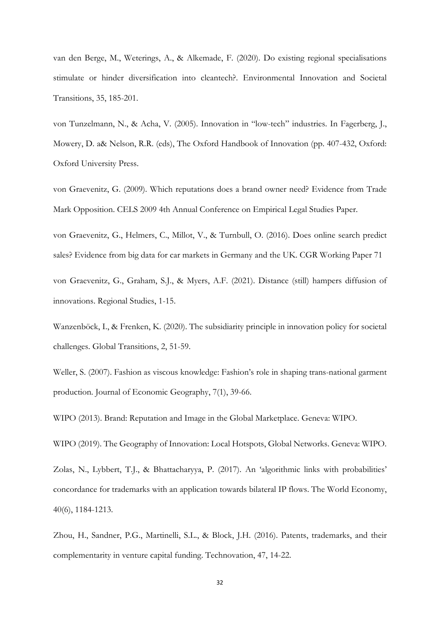van den Berge, M., Weterings, A., & Alkemade, F. (2020). Do existing regional specialisations stimulate or hinder diversification into cleantech?. Environmental Innovation and Societal Transitions, 35, 185-201.

von Tunzelmann, N., & Acha, V. (2005). Innovation in "low-tech" industries. In Fagerberg, J., Mowery, D. a& Nelson, R.R. (eds), The Oxford Handbook of Innovation (pp. 407-432, Oxford: Oxford University Press.

von Graevenitz, G. (2009). Which reputations does a brand owner need? Evidence from Trade Mark Opposition. CELS 2009 4th Annual Conference on Empirical Legal Studies Paper.

von Graevenitz, G., Helmers, C., Millot, V., & Turnbull, O. (2016). Does online search predict sales? Evidence from big data for car markets in Germany and the UK. CGR Working Paper 71

von Graevenitz, G., Graham, S.J., & Myers, A.F. (2021). Distance (still) hampers diffusion of innovations. Regional Studies, 1-15.

Wanzenböck, I., & Frenken, K. (2020). The subsidiarity principle in innovation policy for societal challenges. Global Transitions, 2, 51-59.

Weller, S. (2007). Fashion as viscous knowledge: Fashion's role in shaping trans-national garment production. Journal of Economic Geography, 7(1), 39-66.

WIPO (2013). Brand: Reputation and Image in the Global Marketplace. Geneva: WIPO.

WIPO (2019). The Geography of Innovation: Local Hotspots, Global Networks. Geneva: WIPO.

Zolas, N., Lybbert, T.J., & Bhattacharyya, P. (2017). An 'algorithmic links with probabilities' concordance for trademarks with an application towards bilateral IP flows. The World Economy, 40(6), 1184-1213.

Zhou, H., Sandner, P.G., Martinelli, S.L., & Block, J.H. (2016). Patents, trademarks, and their complementarity in venture capital funding. Technovation, 47, 14-22.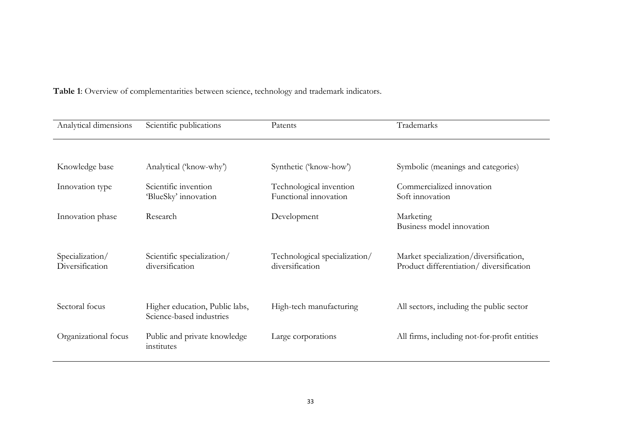**Table 1**: Overview of complementarities between science, technology and trademark indicators.

| Analytical dimensions              | Scientific publications                                    | Patents                                          | Trademarks                                                                         |
|------------------------------------|------------------------------------------------------------|--------------------------------------------------|------------------------------------------------------------------------------------|
|                                    |                                                            |                                                  |                                                                                    |
| Knowledge base                     | Analytical ('know-why')                                    | Synthetic ('know-how')                           | Symbolic (meanings and categories)                                                 |
| Innovation type                    | Scientific invention<br>'BlueSky' innovation               | Technological invention<br>Functional innovation | Commercialized innovation<br>Soft innovation                                       |
| Innovation phase                   | Research                                                   | Development                                      | Marketing<br>Business model innovation                                             |
| Specialization/<br>Diversification | Scientific specialization/<br>diversification              | Technological specialization/<br>diversification | Market specialization/diversification,<br>Product differentiation/ diversification |
| Sectoral focus                     | Higher education, Public labs,<br>Science-based industries | High-tech manufacturing                          | All sectors, including the public sector                                           |
| Organizational focus               | Public and private knowledge<br>institutes                 | Large corporations                               | All firms, including not-for-profit entities                                       |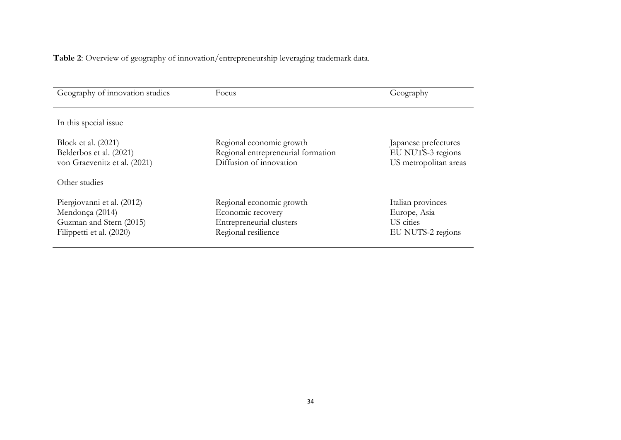**Table 2**: Overview of geography of innovation/entrepreneurship leveraging trademark data.

| Geography of innovation studies                                                                      | Focus                                                                                            | Geography                                                           |
|------------------------------------------------------------------------------------------------------|--------------------------------------------------------------------------------------------------|---------------------------------------------------------------------|
| In this special issue                                                                                |                                                                                                  |                                                                     |
| Block et al. (2021)<br>Belderbos et al. (2021)<br>von Graevenitz et al. (2021)<br>Other studies      | Regional economic growth<br>Regional entrepreneurial formation<br>Diffusion of innovation        | Japanese prefectures<br>EU NUTS-3 regions<br>US metropolitan areas  |
| Piergiovanni et al. (2012)<br>Mendonça (2014)<br>Guzman and Stern (2015)<br>Filippetti et al. (2020) | Regional economic growth<br>Economic recovery<br>Entrepreneurial clusters<br>Regional resilience | Italian provinces<br>Europe, Asia<br>US cities<br>EU NUTS-2 regions |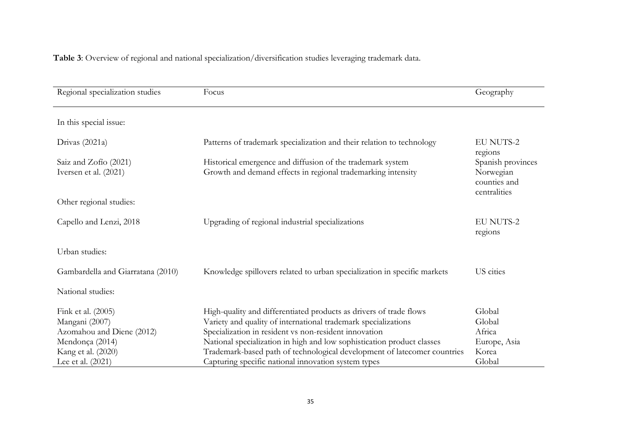**Table 3**: Overview of regional and national specialization/diversification studies leveraging trademark data.

| Regional specialization studies                | Focus                                                                                                                      | Geography                                                      |
|------------------------------------------------|----------------------------------------------------------------------------------------------------------------------------|----------------------------------------------------------------|
| In this special issue:                         |                                                                                                                            |                                                                |
| Drivas $(2021a)$                               | Patterns of trademark specialization and their relation to technology                                                      | <b>EU NUTS-2</b><br>regions                                    |
| Saiz and Zofio (2021)<br>Iversen et al. (2021) | Historical emergence and diffusion of the trademark system<br>Growth and demand effects in regional trademarking intensity | Spanish provinces<br>Norwegian<br>counties and<br>centralities |
| Other regional studies:                        |                                                                                                                            |                                                                |
| Capello and Lenzi, 2018                        | Upgrading of regional industrial specializations                                                                           | <b>EU NUTS-2</b><br>regions                                    |
| Urban studies:                                 |                                                                                                                            |                                                                |
| Gambardella and Giarratana (2010)              | Knowledge spillovers related to urban specialization in specific markets                                                   | US cities                                                      |
| National studies:                              |                                                                                                                            |                                                                |
| Fink et al. (2005)                             | High-quality and differentiated products as drivers of trade flows                                                         | Global                                                         |
| Mangani (2007)                                 | Variety and quality of international trademark specializations                                                             | Global                                                         |
| Azomahou and Diene (2012)                      | Specialization in resident vs non-resident innovation                                                                      | Africa                                                         |
| Mendonça (2014)                                | National specialization in high and low sophistication product classes                                                     | Europe, Asia                                                   |
| Kang et al. (2020)                             | Trademark-based path of technological development of latecomer countries                                                   | Korea                                                          |
| Lee et al. (2021)                              | Capturing specific national innovation system types                                                                        | Global                                                         |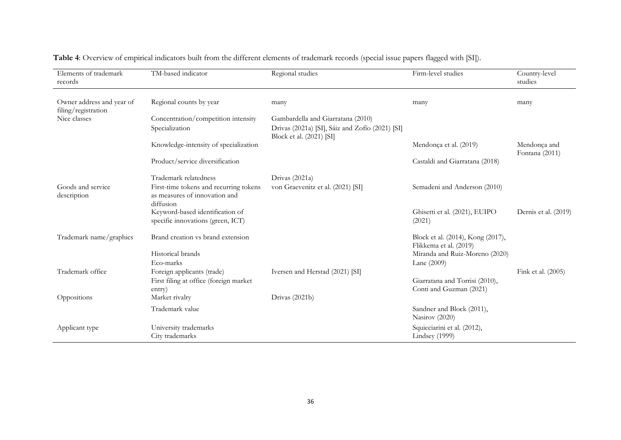| Elements of trademark<br>records                 | TM-based indicator                                                                   | Regional studies                                                            | Firm-level studies                                          | Country-level<br>studies       |
|--------------------------------------------------|--------------------------------------------------------------------------------------|-----------------------------------------------------------------------------|-------------------------------------------------------------|--------------------------------|
| Owner address and year of<br>filing/registration | Regional counts by year                                                              | many                                                                        | many                                                        | many                           |
| Nice classes                                     | Concentration/competition intensity                                                  | Gambardella and Giarratana (2010)                                           |                                                             |                                |
|                                                  | Specialization                                                                       | Drivas (2021a) [SI], Sáiz and Zofío (2021) [SI]<br>Block et al. (2021) [SI] |                                                             |                                |
|                                                  | Knowledge-intensity of specialization                                                |                                                                             | Mendonça et al. (2019)                                      | Mendonça and<br>Fontana (2011) |
|                                                  | Product/service diversification                                                      |                                                                             | Castaldi and Giarratana (2018)                              |                                |
|                                                  | Trademark relatedness                                                                | Drivas (2021a)                                                              |                                                             |                                |
| Goods and service<br>description                 | First-time tokens and recurring tokens<br>as measures of innovation and<br>diffusion | von Graevenitz et al. (2021) [SI]                                           | Semadeni and Anderson (2010)                                |                                |
|                                                  | Keyword-based identification of<br>specific innovations (green, ICT)                 |                                                                             | Ghisetti et al. (2021), EUIPO<br>(2021)                     | Dernis et al. (2019)           |
| Trademark name/graphics                          | Brand creation vs brand extension                                                    |                                                                             | Block et al. (2014), Kong (2017),<br>Flikkema et al. (2019) |                                |
|                                                  | Historical brands                                                                    |                                                                             | Miranda and Ruiz-Moreno (2020)                              |                                |
|                                                  | Eco-marks                                                                            |                                                                             | Lane (2009)                                                 |                                |
| Trademark office                                 | Foreign applicants (trade)                                                           | Iversen and Herstad (2021) [SI]                                             |                                                             | Fink et al. (2005)             |
|                                                  | First filing at office (foreign market                                               |                                                                             | Giarratana and Torrisi (2010),                              |                                |
| Oppositions                                      | entry)<br>Market rivalry                                                             | Drivas (2021b)                                                              | Conti and Guzman (2021)                                     |                                |
|                                                  | Trademark value                                                                      |                                                                             | Sandner and Block (2011),<br>Nasirov (2020)                 |                                |
| Applicant type                                   | University trademarks<br>City trademarks                                             |                                                                             | Squicciarini et al. (2012),<br>Lindsey (1999)               |                                |

**Table 4**: Overview of empirical indicators built from the different elements of trademark records (special issue papers flagged with [SI]).